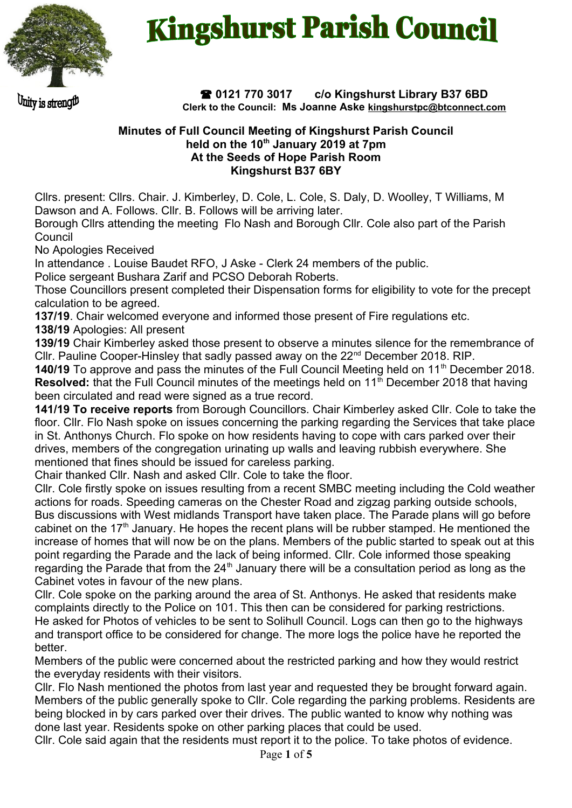

# **Kingshurst Parish Council**

Juity is streng!!!

 **0121 770 3017 c/o Kingshurst Library B37 6BD Clerk to the Council: Ms Joanne Aske [kingshurstpc@btconnect.com](mailto:kingshurstpc@btconnect.com)**

#### **Minutes of Full Council Meeting of Kingshurst Parish Council held on the 10th January 2019 at 7pm At the Seeds of Hope Parish Room Kingshurst B37 6BY**

Cllrs. present: Cllrs. Chair. J. Kimberley, D. Cole, L. Cole, S. Daly, D. Woolley, T Williams, M Dawson and A. Follows. Cllr. B. Follows will be arriving later.

Borough Cllrs attending the meeting Flo Nash and Borough Cllr. Cole also part of the Parish **Council** 

No Apologies Received

In attendance . Louise Baudet RFO, J Aske - Clerk 24 members of the public.

Police sergeant Bushara Zarif and PCSO Deborah Roberts.

Those Councillors present completed their Dispensation forms for eligibility to vote for the precept calculation to be agreed.

**137/19**. Chair welcomed everyone and informed those present of Fire regulations etc.

**138/19** Apologies: All present

**139/19** Chair Kimberley asked those present to observe a minutes silence for the remembrance of Cllr. Pauline Cooper-Hinsley that sadly passed away on the 22<sup>nd</sup> December 2018. RIP.

**140/19** To approve and pass the minutes of the Full Council Meeting held on 11<sup>th</sup> December 2018. **Resolved:** that the Full Council minutes of the meetings held on 11<sup>th</sup> December 2018 that having been circulated and read were signed as a true record.

**141/19 To receive reports** from Borough Councillors. Chair Kimberley asked Cllr. Cole to take the floor. Cllr. Flo Nash spoke on issues concerning the parking regarding the Services that take place in St. Anthonys Church. Flo spoke on how residents having to cope with cars parked over their drives, members of the congregation urinating up walls and leaving rubbish everywhere. She mentioned that fines should be issued for careless parking.

Chair thanked Cllr. Nash and asked Cllr. Cole to take the floor.

Cllr. Cole firstly spoke on issues resulting from a recent SMBC meeting including the Cold weather actions for roads. Speeding cameras on the Chester Road and zigzag parking outside schools, Bus discussions with West midlands Transport have taken place. The Parade plans will go before cabinet on the 17<sup>th</sup> January. He hopes the recent plans will be rubber stamped. He mentioned the increase of homes that will now be on the plans. Members of the public started to speak out at this point regarding the Parade and the lack of being informed. Cllr. Cole informed those speaking regarding the Parade that from the  $24<sup>th</sup>$  January there will be a consultation period as long as the Cabinet votes in favour of the new plans.

Cllr. Cole spoke on the parking around the area of St. Anthonys. He asked that residents make complaints directly to the Police on 101. This then can be considered for parking restrictions. He asked for Photos of vehicles to be sent to Solihull Council. Logs can then go to the highways and transport office to be considered for change. The more logs the police have he reported the better.

Members of the public were concerned about the restricted parking and how they would restrict the everyday residents with their visitors.

Cllr. Flo Nash mentioned the photos from last year and requested they be brought forward again. Members of the public generally spoke to Cllr. Cole regarding the parking problems. Residents are being blocked in by cars parked over their drives. The public wanted to know why nothing was done last year. Residents spoke on other parking places that could be used.

Cllr. Cole said again that the residents must report it to the police. To take photos of evidence.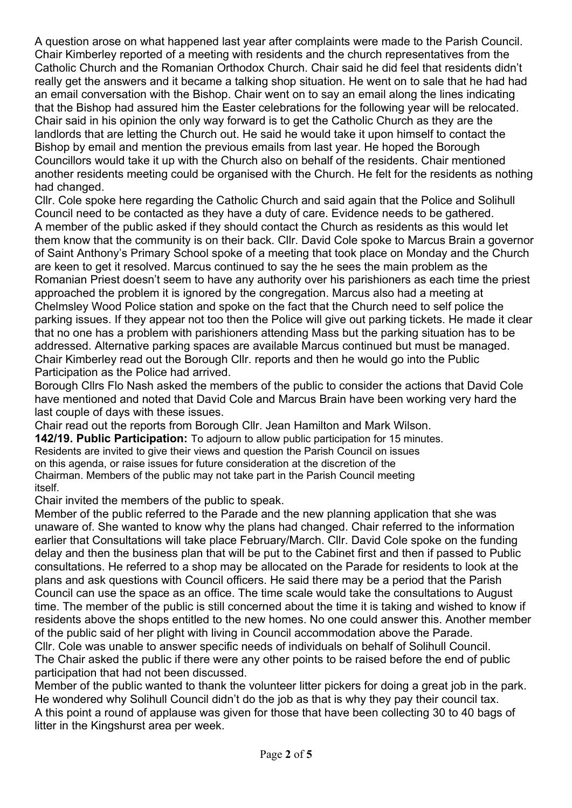A question arose on what happened last year after complaints were made to the Parish Council. Chair Kimberley reported of a meeting with residents and the church representatives from the Catholic Church and the Romanian Orthodox Church. Chair said he did feel that residents didn't really get the answers and it became a talking shop situation. He went on to sale that he had had an email conversation with the Bishop. Chair went on to say an email along the lines indicating that the Bishop had assured him the Easter celebrations for the following year will be relocated. Chair said in his opinion the only way forward is to get the Catholic Church as they are the landlords that are letting the Church out. He said he would take it upon himself to contact the Bishop by email and mention the previous emails from last year. He hoped the Borough Councillors would take it up with the Church also on behalf of the residents. Chair mentioned another residents meeting could be organised with the Church. He felt for the residents as nothing had changed.

Cllr. Cole spoke here regarding the Catholic Church and said again that the Police and Solihull Council need to be contacted as they have a duty of care. Evidence needs to be gathered. A member of the public asked if they should contact the Church as residents as this would let them know that the community is on their back. Cllr. David Cole spoke to Marcus Brain a governor of Saint Anthony's Primary School spoke of a meeting that took place on Monday and the Church are keen to get it resolved. Marcus continued to say the he sees the main problem as the Romanian Priest doesn't seem to have any authority over his parishioners as each time the priest approached the problem it is ignored by the congregation. Marcus also had a meeting at Chelmsley Wood Police station and spoke on the fact that the Church need to self police the parking issues. If they appear not too then the Police will give out parking tickets. He made it clear that no one has a problem with parishioners attending Mass but the parking situation has to be addressed. Alternative parking spaces are available Marcus continued but must be managed. Chair Kimberley read out the Borough Cllr. reports and then he would go into the Public Participation as the Police had arrived.

Borough Cllrs Flo Nash asked the members of the public to consider the actions that David Cole have mentioned and noted that David Cole and Marcus Brain have been working very hard the last couple of days with these issues.

Chair read out the reports from Borough Cllr. Jean Hamilton and Mark Wilson.

**142/19. Public Participation:** To adjourn to allow public participation for 15 minutes. Residents are invited to give their views and question the Parish Council on issues on this agenda, or raise issues for future consideration at the discretion of the Chairman. Members of the public may not take part in the Parish Council meeting itself.

Chair invited the members of the public to speak.

Member of the public referred to the Parade and the new planning application that she was unaware of. She wanted to know why the plans had changed. Chair referred to the information earlier that Consultations will take place February/March. Cllr. David Cole spoke on the funding delay and then the business plan that will be put to the Cabinet first and then if passed to Public consultations. He referred to a shop may be allocated on the Parade for residents to look at the plans and ask questions with Council officers. He said there may be a period that the Parish Council can use the space as an office. The time scale would take the consultations to August time. The member of the public is still concerned about the time it is taking and wished to know if residents above the shops entitled to the new homes. No one could answer this. Another member of the public said of her plight with living in Council accommodation above the Parade.

Cllr. Cole was unable to answer specific needs of individuals on behalf of Solihull Council. The Chair asked the public if there were any other points to be raised before the end of public participation that had not been discussed.

Member of the public wanted to thank the volunteer litter pickers for doing a great job in the park. He wondered why Solihull Council didn't do the job as that is why they pay their council tax. A this point a round of applause was given for those that have been collecting 30 to 40 bags of litter in the Kingshurst area per week.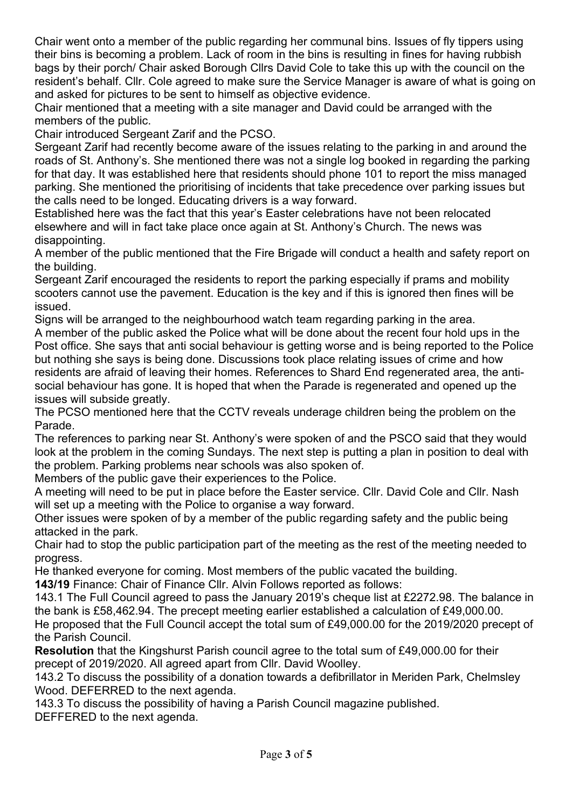Chair went onto a member of the public regarding her communal bins. Issues of fly tippers using their bins is becoming a problem. Lack of room in the bins is resulting in fines for having rubbish bags by their porch/ Chair asked Borough Cllrs David Cole to take this up with the council on the resident's behalf. Cllr. Cole agreed to make sure the Service Manager is aware of what is going on and asked for pictures to be sent to himself as objective evidence.

Chair mentioned that a meeting with a site manager and David could be arranged with the members of the public.

Chair introduced Sergeant Zarif and the PCSO.

Sergeant Zarif had recently become aware of the issues relating to the parking in and around the roads of St. Anthony's. She mentioned there was not a single log booked in regarding the parking for that day. It was established here that residents should phone 101 to report the miss managed parking. She mentioned the prioritising of incidents that take precedence over parking issues but the calls need to be longed. Educating drivers is a way forward.

Established here was the fact that this year's Easter celebrations have not been relocated elsewhere and will in fact take place once again at St. Anthony's Church. The news was disappointing.

A member of the public mentioned that the Fire Brigade will conduct a health and safety report on the building.

Sergeant Zarif encouraged the residents to report the parking especially if prams and mobility scooters cannot use the pavement. Education is the key and if this is ignored then fines will be issued.

Signs will be arranged to the neighbourhood watch team regarding parking in the area. A member of the public asked the Police what will be done about the recent four hold ups in the Post office. She says that anti social behaviour is getting worse and is being reported to the Police but nothing she says is being done. Discussions took place relating issues of crime and how residents are afraid of leaving their homes. References to Shard End regenerated area, the antisocial behaviour has gone. It is hoped that when the Parade is regenerated and opened up the

issues will subside greatly.

The PCSO mentioned here that the CCTV reveals underage children being the problem on the Parade.

The references to parking near St. Anthony's were spoken of and the PSCO said that they would look at the problem in the coming Sundays. The next step is putting a plan in position to deal with the problem. Parking problems near schools was also spoken of.

Members of the public gave their experiences to the Police.

A meeting will need to be put in place before the Easter service. Cllr. David Cole and Cllr. Nash will set up a meeting with the Police to organise a way forward.

Other issues were spoken of by a member of the public regarding safety and the public being attacked in the park.

Chair had to stop the public participation part of the meeting as the rest of the meeting needed to progress.

He thanked everyone for coming. Most members of the public vacated the building.

**143/19** Finance: Chair of Finance Cllr. Alvin Follows reported as follows:

143.1 The Full Council agreed to pass the January 2019's cheque list at £2272.98. The balance in the bank is £58,462.94. The precept meeting earlier established a calculation of £49,000.00.

He proposed that the Full Council accept the total sum of £49,000.00 for the 2019/2020 precept of the Parish Council.

**Resolution** that the Kingshurst Parish council agree to the total sum of £49,000.00 for their precept of 2019/2020. All agreed apart from Cllr. David Woolley.

143.2 To discuss the possibility of a donation towards a defibrillator in Meriden Park, Chelmsley Wood. DEFERRED to the next agenda.

143.3 To discuss the possibility of having a Parish Council magazine published.

DEFFERED to the next agenda.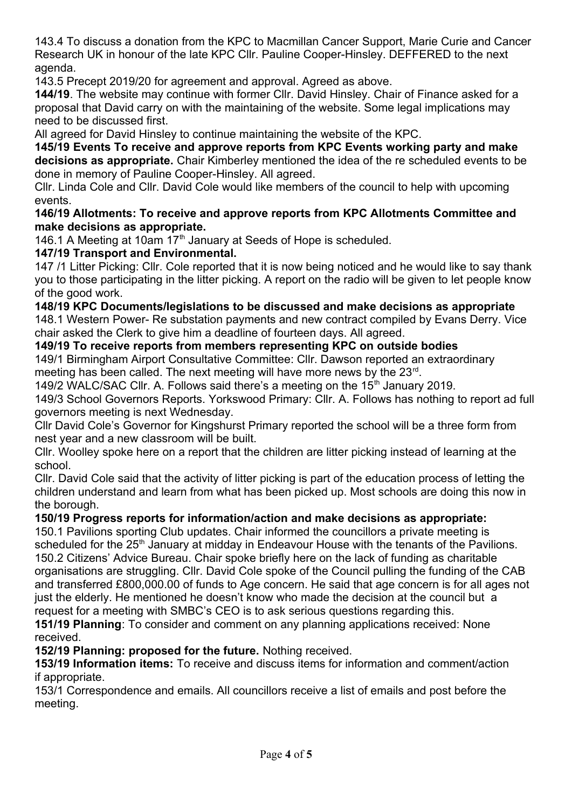143.4 To discuss a donation from the KPC to Macmillan Cancer Support, Marie Curie and Cancer Research UK in honour of the late KPC Cllr. Pauline Cooper-Hinsley. DEFFERED to the next agenda.

143.5 Precept 2019/20 for agreement and approval. Agreed as above.

**144/19**. The website may continue with former Cllr. David Hinsley. Chair of Finance asked for a proposal that David carry on with the maintaining of the website. Some legal implications may need to be discussed first.

All agreed for David Hinsley to continue maintaining the website of the KPC.

**145/19 Events To receive and approve reports from KPC Events working party and make decisions as appropriate.** Chair Kimberley mentioned the idea of the re scheduled events to be done in memory of Pauline Cooper-Hinsley. All agreed.

Cllr. Linda Cole and Cllr. David Cole would like members of the council to help with upcoming events.

**146/19 Allotments: To receive and approve reports from KPC Allotments Committee and make decisions as appropriate.**

146.1 A Meeting at 10am  $17<sup>th</sup>$  January at Seeds of Hope is scheduled.

## **147/19 Transport and Environmental.**

147 /1 Litter Picking: Cllr. Cole reported that it is now being noticed and he would like to say thank you to those participating in the litter picking. A report on the radio will be given to let people know of the good work.

#### **148/19 KPC Documents/legislations to be discussed and make decisions as appropriate**

148.1 Western Power- Re substation payments and new contract compiled by Evans Derry. Vice chair asked the Clerk to give him a deadline of fourteen days. All agreed.

## **149/19 To receive reports from members representing KPC on outside bodies**

149/1 Birmingham Airport Consultative Committee: Cllr. Dawson reported an extraordinary meeting has been called. The next meeting will have more news by the  $23^{\text{rd}}$ .

149/2 WALC/SAC Cllr. A. Follows said there's a meeting on the 15<sup>th</sup> January 2019.

149/3 School Governors Reports. Yorkswood Primary: Cllr. A. Follows has nothing to report ad full governors meeting is next Wednesday.

Cllr David Cole's Governor for Kingshurst Primary reported the school will be a three form from nest year and a new classroom will be built.

Cllr. Woolley spoke here on a report that the children are litter picking instead of learning at the school.

Cllr. David Cole said that the activity of litter picking is part of the education process of letting the children understand and learn from what has been picked up. Most schools are doing this now in the borough.

# **150/19 Progress reports for information/action and make decisions as appropriate:**

150.1 Pavilions sporting Club updates. Chair informed the councillors a private meeting is scheduled for the 25<sup>th</sup> January at midday in Endeavour House with the tenants of the Pavilions. 150.2 Citizens' Advice Bureau. Chair spoke briefly here on the lack of funding as charitable organisations are struggling. Cllr. David Cole spoke of the Council pulling the funding of the CAB and transferred £800,000.00 of funds to Age concern. He said that age concern is for all ages not just the elderly. He mentioned he doesn't know who made the decision at the council but a request for a meeting with SMBC's CEO is to ask serious questions regarding this.

**151/19 Planning**: To consider and comment on any planning applications received: None received.

**152/19 Planning: proposed for the future.** Nothing received.

**153/19 Information items:** To receive and discuss items for information and comment/action if appropriate.

153/1 Correspondence and emails. All councillors receive a list of emails and post before the meeting.